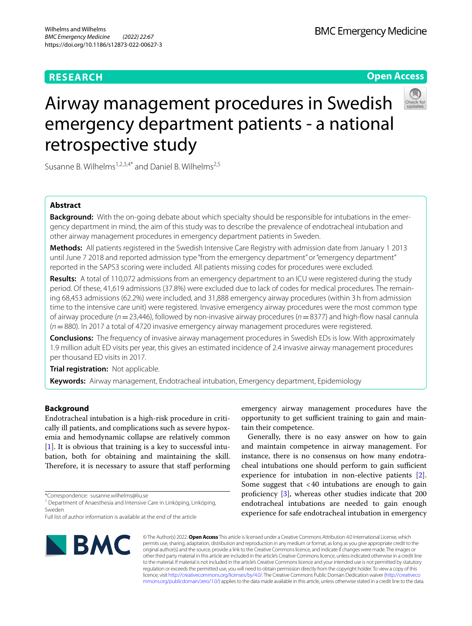# **RESEARCH**

# **Open Access**



# Airway management procedures in Swedish emergency department patients - a national retrospective study

Susanne B. Wilhelms<sup>1,2,3,4\*</sup> and Daniel B. Wilhelms<sup>2,5</sup>

# **Abstract**

**Background:** With the on-going debate about which specialty should be responsible for intubations in the emergency department in mind, the aim of this study was to describe the prevalence of endotracheal intubation and other airway management procedures in emergency department patients in Sweden.

**Methods:** All patients registered in the Swedish Intensive Care Registry with admission date from January 1 2013 until June 7 2018 and reported admission type "from the emergency department" or "emergency department" reported in the SAPS3 scoring were included. All patients missing codes for procedures were excluded.

**Results:** A total of 110,072 admissions from an emergency department to an ICU were registered during the study period. Of these, 41,619 admissions (37.8%) were excluded due to lack of codes for medical procedures. The remaining 68,453 admissions (62.2%) were included, and 31,888 emergency airway procedures (within 3h from admission time to the intensive care unit) were registered. Invasive emergency airway procedures were the most common type of airway procedure (*n*=23,446), followed by non-invasive airway procedures (*n*=8377) and high-fow nasal cannula (*n*=880). In 2017 a total of 4720 invasive emergency airway management procedures were registered.

**Conclusions:** The frequency of invasive airway management procedures in Swedish EDs is low. With approximately 1.9 million adult ED visits per year, this gives an estimated incidence of 2.4 invasive airway management procedures per thousand ED visits in 2017.

**Trial registration:** Not applicable.

**Keywords:** Airway management, Endotracheal intubation, Emergency department, Epidemiology

# **Background**

Endotracheal intubation is a high-risk procedure in critically ill patients, and complications such as severe hypoxemia and hemodynamic collapse are relatively common [[1\]](#page-6-0). It is obvious that training is a key to successful intubation, both for obtaining and maintaining the skill. Therefore, it is necessary to assure that staff performing

\*Correspondence: susanne.wilhelms@liu.se

<sup>1</sup> Department of Anaesthesia and Intensive Care in Linköping, Linköping, Sweden

Full list of author information is available at the end of the article

emergency airway management procedures have the opportunity to get sufficient training to gain and maintain their competence. Generally, there is no easy answer on how to gain

and maintain competence in airway management. For instance, there is no consensus on how many endotracheal intubations one should perform to gain sufficient experience for intubation in non-elective patients [\[2](#page-6-1)]. Some suggest that  $<40$  intubations are enough to gain proficiency  $\left[3\right]$  $\left[3\right]$  $\left[3\right]$ , whereas other studies indicate that 200 endotracheal intubations are needed to gain enough experience for safe endotracheal intubation in emergency



© The Author(s) 2022. **Open Access** This article is licensed under a Creative Commons Attribution 4.0 International License, which permits use, sharing, adaptation, distribution and reproduction in any medium or format, as long as you give appropriate credit to the original author(s) and the source, provide a link to the Creative Commons licence, and indicate if changes were made. The images or other third party material in this article are included in the article's Creative Commons licence, unless indicated otherwise in a credit line to the material. If material is not included in the article's Creative Commons licence and your intended use is not permitted by statutory regulation or exceeds the permitted use, you will need to obtain permission directly from the copyright holder. To view a copy of this licence, visit [http://creativecommons.org/licenses/by/4.0/.](http://creativecommons.org/licenses/by/4.0/) The Creative Commons Public Domain Dedication waiver ([http://creativeco](http://creativecommons.org/publicdomain/zero/1.0/) [mmons.org/publicdomain/zero/1.0/](http://creativecommons.org/publicdomain/zero/1.0/)) applies to the data made available in this article, unless otherwise stated in a credit line to the data.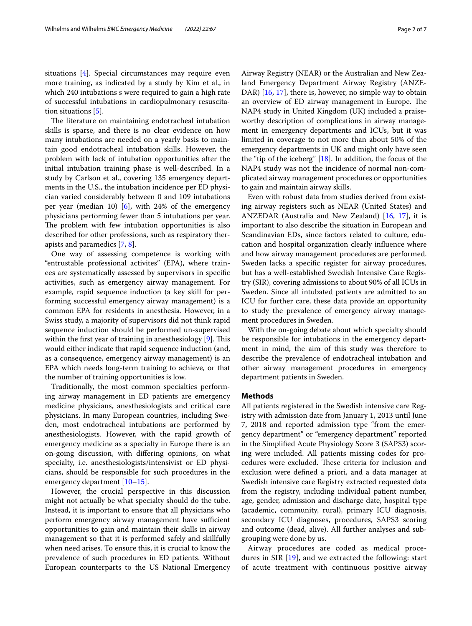situations [\[4\]](#page-6-3). Special circumstances may require even more training, as indicated by a study by Kim et al., in which 240 intubations s were required to gain a high rate of successful intubations in cardiopulmonary resuscitation situations [[5\]](#page-6-4).

The literature on maintaining endotracheal intubation skills is sparse, and there is no clear evidence on how many intubations are needed on a yearly basis to maintain good endotracheal intubation skills. However, the problem with lack of intubation opportunities after the initial intubation training phase is well-described. In a study by Carlson et al., covering 135 emergency departments in the U.S., the intubation incidence per ED physician varied considerably between 0 and 109 intubations per year (median 10)  $[6]$  $[6]$ , with 24% of the emergency physicians performing fewer than 5 intubations per year. The problem with few intubation opportunities is also described for other professions, such as respiratory therapists and paramedics [\[7](#page-6-6), [8\]](#page-6-7).

One way of assessing competence is working with "entrustable professional activites" (EPA), where trainees are systematically assessed by supervisors in specifc activities, such as emergency airway management. For example, rapid sequence induction (a key skill for performing successful emergency airway management) is a common EPA for residents in anesthesia. However, in a Swiss study, a majority of supervisors did not think rapid sequence induction should be performed un-supervised within the first year of training in anesthesiology  $[9]$  $[9]$ . This would either indicate that rapid sequence induction (and, as a consequence, emergency airway management) is an EPA which needs long-term training to achieve, or that the number of training opportunities is low.

Traditionally, the most common specialties performing airway management in ED patients are emergency medicine physicians, anesthesiologists and critical care physicians. In many European countries, including Sweden, most endotracheal intubations are performed by anesthesiologists. However, with the rapid growth of emergency medicine as a specialty in Europe there is an on-going discussion, with difering opinions, on what specialty, i.e. anesthesiologists/intensivist or ED physicians, should be responsible for such procedures in the emergency department [\[10–](#page-6-9)[15\]](#page-6-10).

However, the crucial perspective in this discussion might not actually be what specialty should do the tube. Instead, it is important to ensure that all physicians who perform emergency airway management have sufficient opportunities to gain and maintain their skills in airway management so that it is performed safely and skillfully when need arises. To ensure this, it is crucial to know the prevalence of such procedures in ED patients. Without European counterparts to the US National Emergency Airway Registry (NEAR) or the Australian and New Zealand Emergency Department Airway Registry (ANZE-DAR) [[16,](#page-6-11) [17](#page-6-12)], there is, however, no simple way to obtain an overview of ED airway management in Europe. The NAP4 study in United Kingdom (UK) included a praiseworthy description of complications in airway management in emergency departments and ICUs, but it was limited in coverage to not more than about 50% of the emergency departments in UK and might only have seen the "tip of the iceberg" [[18\]](#page-6-13). In addition, the focus of the NAP4 study was not the incidence of normal non-complicated airway management procedures or opportunities to gain and maintain airway skills.

Even with robust data from studies derived from existing airway registers such as NEAR (United States) and ANZEDAR (Australia and New Zealand) [\[16](#page-6-11), [17](#page-6-12)], it is important to also describe the situation in European and Scandinavian EDs, since factors related to culture, education and hospital organization clearly infuence where and how airway management procedures are performed. Sweden lacks a specifc register for airway procedures, but has a well-established Swedish Intensive Care Registry (SIR), covering admissions to about 90% of all ICUs in Sweden. Since all intubated patients are admitted to an ICU for further care, these data provide an opportunity to study the prevalence of emergency airway management procedures in Sweden.

With the on-going debate about which specialty should be responsible for intubations in the emergency department in mind, the aim of this study was therefore to describe the prevalence of endotracheal intubation and other airway management procedures in emergency department patients in Sweden.

# **Methods**

All patients registered in the Swedish intensive care Registry with admission date from January 1, 2013 until June 7, 2018 and reported admission type "from the emergency department" or "emergency department" reported in the Simplifed Acute Physiology Score 3 (SAPS3) scoring were included. All patients missing codes for procedures were excluded. These criteria for inclusion and exclusion were defned a priori, and a data manager at Swedish intensive care Registry extracted requested data from the registry, including individual patient number, age, gender, admission and discharge date, hospital type (academic, community, rural), primary ICU diagnosis, secondary ICU diagnoses, procedures, SAPS3 scoring and outcome (dead, alive). All further analyses and subgrouping were done by us.

Airway procedures are coded as medical procedures in SIR [[19\]](#page-6-14), and we extracted the following: start of acute treatment with continuous positive airway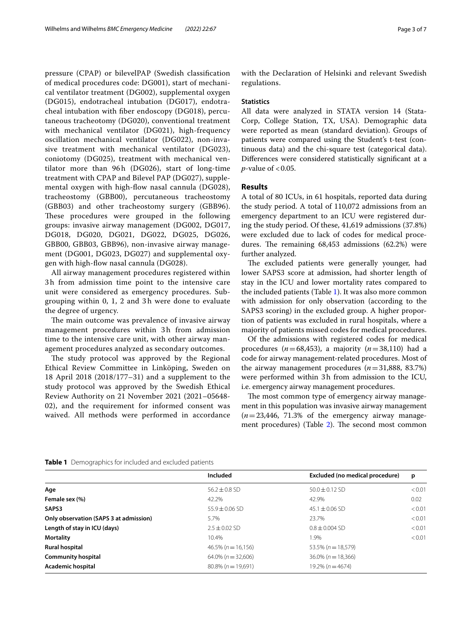pressure (CPAP) or bilevelPAP (Swedish classifcation of medical procedures code: DG001), start of mechanical ventilator treatment (DG002), supplemental oxygen (DG015), endotracheal intubation (DG017), endotracheal intubation with fber endoscopy (DG018), percutaneous tracheotomy (DG020), conventional treatment with mechanical ventilator (DG021), high-frequency oscillation mechanical ventilator (DG022), non-invasive treatment with mechanical ventilator (DG023), coniotomy (DG025), treatment with mechanical ventilator more than 96h (DG026), start of long-time treatment with CPAP and Bilevel PAP (DG027), supplemental oxygen with high-flow nasal cannula (DG028), tracheostomy (GBB00), percutaneous tracheostomy (GBB03) and other tracheostomy surgery (GBB96). These procedures were grouped in the following groups: invasive airway management (DG002, DG017, DG018, DG020, DG021, DG022, DG025, DG026, GBB00, GBB03, GBB96), non-invasive airway management (DG001, DG023, DG027) and supplemental oxygen with high-fow nasal cannula (DG028).

All airway management procedures registered within 3 h from admission time point to the intensive care unit were considered as emergency procedures. Subgrouping within 0, 1, 2 and 3 h were done to evaluate the degree of urgency.

The main outcome was prevalence of invasive airway management procedures within 3 h from admission time to the intensive care unit, with other airway management procedures analyzed as secondary outcomes.

The study protocol was approved by the Regional Ethical Review Committee in Linköping, Sweden on 18 April 2018 (2018/177–31) and a supplement to the study protocol was approved by the Swedish Ethical Review Authority on 21 November 2021 (2021–05648- 02), and the requirement for informed consent was waived. All methods were performed in accordance with the Declaration of Helsinki and relevant Swedish regulations.

## **Statistics**

All data were analyzed in STATA version 14 (Stata-Corp, College Station, TX, USA). Demographic data were reported as mean (standard deviation). Groups of patients were compared using the Student's t-test (continuous data) and the chi-square test (categorical data). Diferences were considered statistically signifcant at a *p*-value of <0.05.

# **Results**

A total of 80 ICUs, in 61 hospitals, reported data during the study period. A total of 110,072 admissions from an emergency department to an ICU were registered during the study period. Of these, 41,619 admissions (37.8%) were excluded due to lack of codes for medical procedures. The remaining  $68,453$  admissions  $(62.2%)$  were further analyzed.

The excluded patients were generally younger, had lower SAPS3 score at admission, had shorter length of stay in the ICU and lower mortality rates compared to the included patients (Table [1\)](#page-2-0). It was also more common with admission for only observation (according to the SAPS3 scoring) in the excluded group. A higher proportion of patients was excluded in rural hospitals, where a majority of patients missed codes for medical procedures.

Of the admissions with registered codes for medical procedures (*n*=68,453), a majority (*n*=38,110) had a code for airway management-related procedures. Most of the airway management procedures  $(n=31,888, 83.7%)$ were performed within 3h from admission to the ICU, i.e. emergency airway management procedures.

The most common type of emergency airway management in this population was invasive airway management (*n*=23,446, 71.3% of the emergency airway management procedures) (Table  $2$ ). The second most common

<span id="page-2-0"></span>

|  |  |  | Table 1 Demographics for included and excluded patients |
|--|--|--|---------------------------------------------------------|
|--|--|--|---------------------------------------------------------|

|                                        | Included                  | Excluded (no medical procedure) | p      |
|----------------------------------------|---------------------------|---------------------------------|--------|
| Age                                    | $56.2 \pm 0.8$ SD         | $50.0 \pm 0.12$ SD              | < 0.01 |
| Female sex (%)                         | 42.2%                     | 42.9%                           | 0.02   |
| SAPS3                                  | $55.9 + 0.06$ SD          | $45.1 \pm 0.06$ SD              | < 0.01 |
| Only observation (SAPS 3 at admission) | 5.7%                      | 23.7%                           | < 0.01 |
| Length of stay in ICU (days)           | $2.5 \pm 0.02$ SD         | $0.8 + 0.004$ SD                | < 0.01 |
| <b>Mortality</b>                       | 10.4%                     | 1.9%                            | < 0.01 |
| <b>Rural hospital</b>                  | $46.5\% (n = 16.156)$     | $53.5\% (n = 18.579)$           |        |
| <b>Community hospital</b>              | $64.0\%$ ( $n = 32.606$ ) | $36.0\% (n = 18.366)$           |        |
| Academic hospital                      | $80.8\%$ (n = 19.691)     | $19.2\% (n = 4674)$             |        |
|                                        |                           |                                 |        |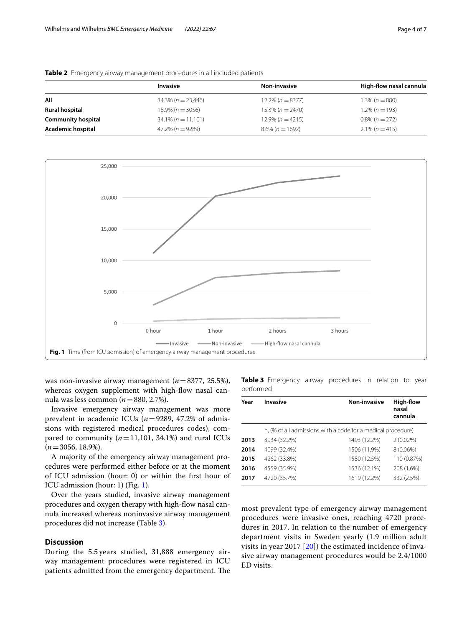|                           | Invasive              | Non-invasive        | High-flow nasal cannula |
|---------------------------|-----------------------|---------------------|-------------------------|
| All                       | $34.3\% (n = 23.446)$ | $12.2\% (n = 8377)$ | $1.3\% (n = 880)$       |
| Rural hospital            | $18.9\% (n = 3056)$   | $15.3\% (n = 2470)$ | $1.2\% (n = 193)$       |
| <b>Community hospital</b> | $34.1\% (n = 11,101)$ | $12.9\% (n = 4215)$ | $0.8\%$ (n = 272)       |
| Academic hospital         | $47.2\%$ (n = 9289)   | $8.6\%$ (n = 1692)  | $2.1\% (n=415)$         |
|                           |                       |                     |                         |

<span id="page-3-0"></span>



<span id="page-3-1"></span>was non-invasive airway management (*n*=8377, 25.5%), whereas oxygen supplement with high-flow nasal cannula was less common (*n*=880, 2.7%).

Invasive emergency airway management was more prevalent in academic ICUs (*n*=9289, 47.2% of admissions with registered medical procedures codes), compared to community  $(n=11,101, 34.1%)$  and rural ICUs  $(n=3056, 18.9\%).$ 

A majority of the emergency airway management procedures were performed either before or at the moment of ICU admission (hour: 0) or within the frst hour of ICU admission (hour: 1) (Fig. [1\)](#page-3-1).

Over the years studied, invasive airway management procedures and oxygen therapy with high-fow nasal cannula increased whereas noninvasive airway management procedures did not increase (Table [3](#page-3-2)).

# **Discussion**

During the 5.5 years studied, 31,888 emergency airway management procedures were registered in ICU patients admitted from the emergency department. The <span id="page-3-2"></span>**Table 3** Emergency airway procedures in relation to year performed

| Year | <b>Invasive</b>                                              | Non-invasive | High-flow<br>nasal<br>cannula |  |
|------|--------------------------------------------------------------|--------------|-------------------------------|--|
|      | n, (% of all admissions with a code for a medical procedure) |              |                               |  |
| 2013 | 3934 (32.2%)                                                 | 1493 (12.2%) | $2(0.02\%)$                   |  |
| 2014 | 4099 (32.4%)                                                 | 1506 (11.9%) | $8(0.06\%)$                   |  |
| 2015 | 4262 (33.8%)                                                 | 1580 (12.5%) | 110 (0.87%)                   |  |
| 2016 | 4559 (35.9%)                                                 | 1536 (12.1%) | 208 (1.6%)                    |  |
| 2017 | 4720 (35.7%)                                                 | 1619 (12.2%) | 332 (2.5%)                    |  |

most prevalent type of emergency airway management procedures were invasive ones, reaching 4720 procedures in 2017. In relation to the number of emergency department visits in Sweden yearly (1.9 million adult visits in year 2017  $[20]$  $[20]$ ) the estimated incidence of invasive airway management procedures would be 2.4/1000 ED visits.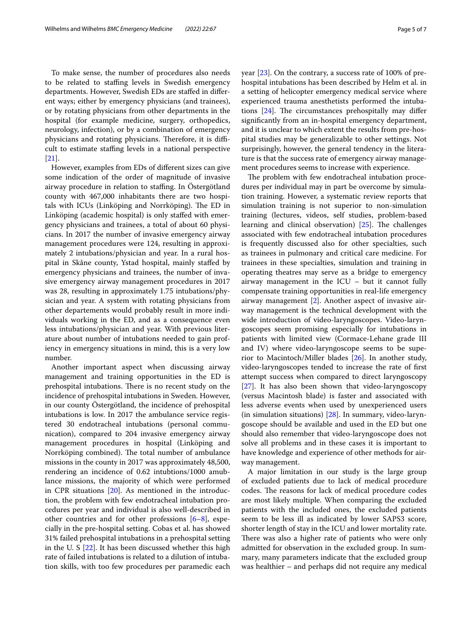To make sense, the number of procedures also needs to be related to staffing levels in Swedish emergency departments. However, Swedish EDs are stafed in diferent ways; either by emergency physicians (and trainees), or by rotating physicians from other departments in the hospital (for example medicine, surgery, orthopedics, neurology, infection), or by a combination of emergency physicians and rotating physicians. Therefore, it is difficult to estimate stafng levels in a national perspective [[21\]](#page-6-16).

However, examples from EDs of diferent sizes can give some indication of the order of magnitude of invasive airway procedure in relation to staffing. In Ostergötland county with 467,000 inhabitants there are two hospitals with ICUs (Linköping and Norrköping). The ED in Linköping (academic hospital) is only stafed with emergency physicians and trainees, a total of about 60 physicians. In 2017 the number of invasive emergency airway management procedures were 124, resulting in approximately 2 intubations/physician and year. In a rural hospital in Skåne county, Ystad hospital, mainly stafed by emergency physicians and trainees, the number of invasive emergency airway management procedures in 2017 was 28, resulting in approximately 1.75 intubations/physician and year. A system with rotating physicians from other departements would probably result in more individuals working in the ED, and as a consequence even less intubations/physician and year. With previous literature about number of intubations needed to gain profiency in emergency situations in mind, this is a very low number.

Another important aspect when discussing airway management and training opportunities in the ED is prehospital intubations. There is no recent study on the incidence of prehospital intubations in Sweden. However, in our county Östergötland, the incidence of prehospital intubations is low. In 2017 the ambulance service registered 30 endotracheal intubations (personal communication), compared to 204 invasive emergency airway management procedures in hospital (Linköping and Norrköping combined). The total number of ambulance missions in the county in 2017 was approximately 48,500, rendering an incidence of 0.62 intubtions/1000 amublance missions, the majority of which were performed in CPR situations  $[20]$  $[20]$ . As mentioned in the introduction, the problem with few endotracheal intubation procedures per year and individual is also well-described in other countries and for other professions  $[6-8]$  $[6-8]$ , especially in the pre-hospital setting. Cobas et al. has showed 31% failed prehospital intubations in a prehospital setting in the U. S  $[22]$  $[22]$  $[22]$ . It has been discussed whether this high rate of failed intubations is related to a dilution of intubation skills, with too few procedures per paramedic each

year [[23\]](#page-6-18). On the contrary, a success rate of 100% of prehospital intubations has been described by Helm et al. in a setting of helicopter emergency medical service where experienced trauma anesthetists performed the intubations  $[24]$ . The circumstances prehospitally may differ signifcantly from an in-hospital emergency department, and it is unclear to which extent the results from pre-hospital studies may be generalizable to other settings. Not surprisingly, however, the general tendency in the literature is that the success rate of emergency airway management procedures seems to increase with experience.

The problem with few endotracheal intubation procedures per individual may in part be overcome by simulation training. However, a systematic review reports that simulation training is not superior to non-simulation training (lectures, videos, self studies, problem-based learning and clinical observation)  $[25]$  $[25]$ . The challenges associated with few endotracheal intubation procedures is frequently discussed also for other specialties, such as trainees in pulmonary and critical care medicine. For trainees in these specialties, simulation and training in operating theatres may serve as a bridge to emergency airway management in the ICU – but it cannot fully compensate training opportunities in real-life emergency airway management [\[2](#page-6-1)]. Another aspect of invasive airway management is the technical development with the wide introduction of video-laryngoscopes. Video-laryngoscopes seem promising especially for intubations in patients with limited view (Cormace-Lehane grade III and IV) where video-laryngoscope seems to be superior to Macintoch/Miller blades [[26\]](#page-6-21). In another study, video-laryngoscopes tended to increase the rate of frst attempt success when compared to direct laryngoscopy [[27\]](#page-6-22). It has also been shown that video-laryngoscopy (versus Macintosh blade) is faster and associated with less adverse events when used by unexperienced users (in simulation situations) [\[28](#page-6-23)]. In summary, video-laryngoscope should be available and used in the ED but one should also remember that video-laryngoscope does not solve all problems and in these cases it is important to have knowledge and experience of other methods for airway management.

A major limitation in our study is the large group of excluded patients due to lack of medical procedure codes. The reasons for lack of medical procedure codes are most likely multiple. When comparing the excluded patients with the included ones, the excluded patients seem to be less ill as indicated by lower SAPS3 score, shorter length of stay in the ICU and lower mortality rate. There was also a higher rate of patients who were only admitted for observation in the excluded group. In summary, many parameters indicate that the excluded group was healthier – and perhaps did not require any medical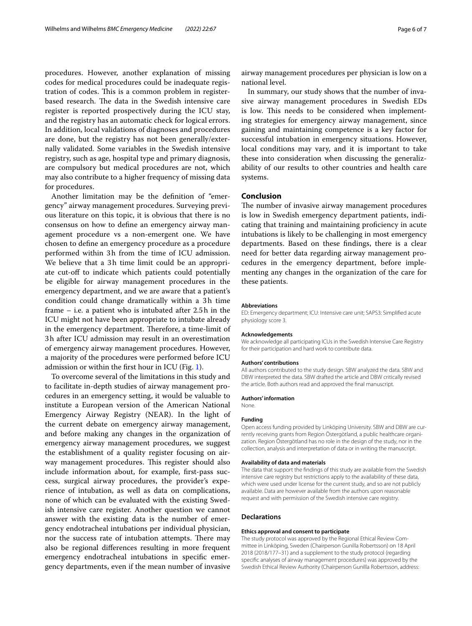procedures. However, another explanation of missing codes for medical procedures could be inadequate registration of codes. This is a common problem in registerbased research. The data in the Swedish intensive care register is reported prospectively during the ICU stay, and the registry has an automatic check for logical errors. In addition, local validations of diagnoses and procedures are done, but the registry has not been generally/externally validated. Some variables in the Swedish intensive registry, such as age, hospital type and primary diagnosis, are compulsory but medical procedures are not, which may also contribute to a higher frequency of missing data for procedures.

Another limitation may be the defnition of "emergency" airway management procedures. Surveying previous literature on this topic, it is obvious that there is no consensus on how to defne an emergency airway management procedure vs a non-emergent one. We have chosen to defne an emergency procedure as a procedure performed within 3h from the time of ICU admission. We believe that a 3h time limit could be an appropriate cut-off to indicate which patients could potentially be eligible for airway management procedures in the emergency department, and we are aware that a patient's condition could change dramatically within a 3h time frame – i.e. a patient who is intubated after 2.5h in the ICU might not have been appropriate to intubate already in the emergency department. Therefore, a time-limit of 3h after ICU admission may result in an overestimation of emergency airway management procedures. However, a majority of the procedures were performed before ICU admission or within the frst hour in ICU (Fig. [1\)](#page-3-1).

To overcome several of the limitations in this study and to facilitate in-depth studies of airway management procedures in an emergency setting, it would be valuable to institute a European version of the American National Emergency Airway Registry (NEAR). In the light of the current debate on emergency airway management, and before making any changes in the organization of emergency airway management procedures, we suggest the establishment of a quality register focusing on airway management procedures. This register should also include information about, for example, frst-pass success, surgical airway procedures, the provider's experience of intubation, as well as data on complications, none of which can be evaluated with the existing Swedish intensive care register. Another question we cannot answer with the existing data is the number of emergency endotracheal intubations per individual physician, nor the success rate of intubation attempts. There may also be regional diferences resulting in more frequent emergency endotracheal intubations in specifc emergency departments, even if the mean number of invasive airway management procedures per physician is low on a national level.

In summary, our study shows that the number of invasive airway management procedures in Swedish EDs is low. This needs to be considered when implementing strategies for emergency airway management, since gaining and maintaining competence is a key factor for successful intubation in emergency situations. However, local conditions may vary, and it is important to take these into consideration when discussing the generalizability of our results to other countries and health care systems.

# **Conclusion**

The number of invasive airway management procedures is low in Swedish emergency department patients, indicating that training and maintaining profciency in acute intubations is likely to be challenging in most emergency departments. Based on these fndings, there is a clear need for better data regarding airway management procedures in the emergency department, before implementing any changes in the organization of the care for these patients.

#### **Abbreviations**

ED: Emergency department; ICU: Intensive care unit; SAPS3: Simplifed acute physiology score 3.

#### **Acknowledgements**

We acknowledge all participating ICUs in the Swedish Intensive Care Registry for their participation and hard work to contribute data.

#### **Authors' contributions**

All authors contributed to the study design. SBW analyzed the data. SBW and DBW interpreted the data. SBW drafted the article and DBW critically revised the article. Both authors read and approved the fnal manuscript.

#### **Authors' information**

None.

#### **Funding**

Open access funding provided by Linköping University. SBW and DBW are currently receiving grants from Region Östergötland, a public healthcare organization. Region Östergötland has no role in the design of the study, nor in the collection, analysis and interpretation of data or in writing the manuscript.

#### **Availability of data and materials**

The data that support the fndings of this study are available from the Swedish intensive care registry but restrictions apply to the availability of these data, which were used under license for the current study, and so are not publicly available. Data are however available from the authors upon reasonable request and with permission of the Swedish intensive care registry.

#### **Declarations**

#### **Ethics approval and consent to participate**

The study protocol was approved by the Regional Ethical Review Committee in Linköping, Sweden (Chairperson Gunilla Robertsson) on 18 April 2018 (2018/177–31) and a supplement to the study protocol (regarding specifc analyses of airway management procedures) was approved by the Swedish Ethical Review Authority (Chairperson Gunilla Robertsson, address: